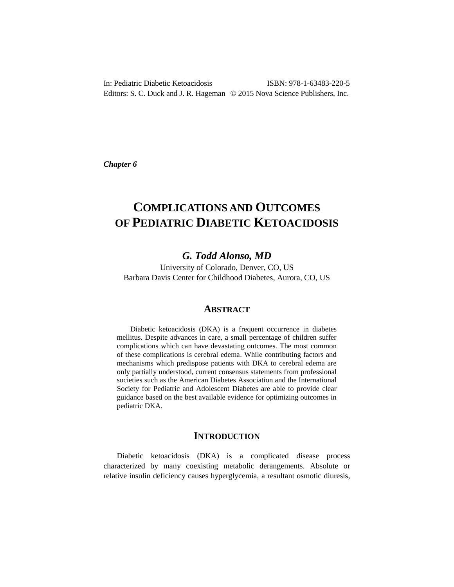In: Pediatric Diabetic Ketoacidosis ISBN: 978-1-63483-220-5 Editors: S. C. Duck and J. R. Hageman © 2015 Nova Science Publishers, Inc.

*Chapter 6*

# **COMPLICATIONS AND OUTCOMES OF PEDIATRIC DIABETIC KETOACIDOSIS**

# *G. Todd Alonso, MD*

University of Colorado, Denver, CO, US Barbara Davis Center for Childhood Diabetes, Aurora, CO, US

# **ABSTRACT**

Diabetic ketoacidosis (DKA) is a frequent occurrence in diabetes mellitus. Despite advances in care, a small percentage of children suffer complications which can have devastating outcomes. The most common of these complications is cerebral edema. While contributing factors and mechanisms which predispose patients with DKA to cerebral edema are only partially understood, current consensus statements from professional societies such as the American Diabetes Association and the International Society for Pediatric and Adolescent Diabetes are able to provide clear guidance based on the best available evidence for optimizing outcomes in pediatric DKA.

# **INTRODUCTION**

Diabetic ketoacidosis (DKA) is a complicated disease process characterized by many coexisting metabolic derangements. Absolute or relative insulin deficiency causes hyperglycemia, a resultant osmotic diuresis,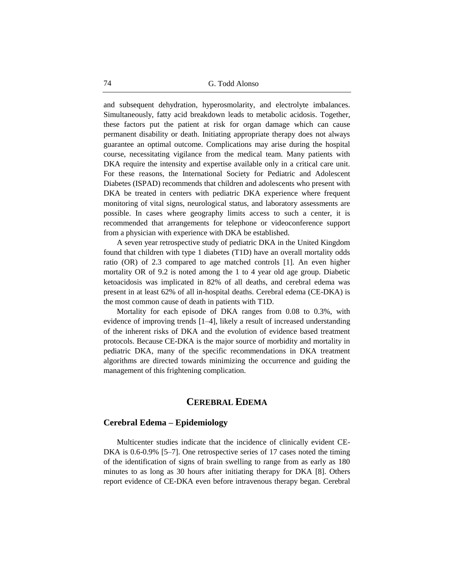and subsequent dehydration, hyperosmolarity, and electrolyte imbalances. Simultaneously, fatty acid breakdown leads to metabolic acidosis. Together, these factors put the patient at risk for organ damage which can cause permanent disability or death. Initiating appropriate therapy does not always guarantee an optimal outcome. Complications may arise during the hospital course, necessitating vigilance from the medical team. Many patients with DKA require the intensity and expertise available only in a critical care unit. For these reasons, the International Society for Pediatric and Adolescent Diabetes (ISPAD) recommends that children and adolescents who present with DKA be treated in centers with pediatric DKA experience where frequent monitoring of vital signs, neurological status, and laboratory assessments are possible. In cases where geography limits access to such a center, it is recommended that arrangements for telephone or videoconference support from a physician with experience with DKA be established.

A seven year retrospective study of pediatric DKA in the United Kingdom found that children with type 1 diabetes (T1D) have an overall mortality odds ratio (OR) of 2.3 compared to age matched controls [1]. An even higher mortality OR of 9.2 is noted among the 1 to 4 year old age group. Diabetic ketoacidosis was implicated in 82% of all deaths, and cerebral edema was present in at least 62% of all in-hospital deaths. Cerebral edema (CE-DKA) is the most common cause of death in patients with T1D.

Mortality for each episode of DKA ranges from 0.08 to 0.3%, with evidence of improving trends [1–4], likely a result of increased understanding of the inherent risks of DKA and the evolution of evidence based treatment protocols. Because CE-DKA is the major source of morbidity and mortality in pediatric DKA, many of the specific recommendations in DKA treatment algorithms are directed towards minimizing the occurrence and guiding the management of this frightening complication.

# **CEREBRAL EDEMA**

#### **Cerebral Edema – Epidemiology**

Multicenter studies indicate that the incidence of clinically evident CE-DKA is 0.6-0.9% [5–7]. One retrospective series of 17 cases noted the timing of the identification of signs of brain swelling to range from as early as 180 minutes to as long as 30 hours after initiating therapy for DKA [8]. Others report evidence of CE-DKA even before intravenous therapy began. Cerebral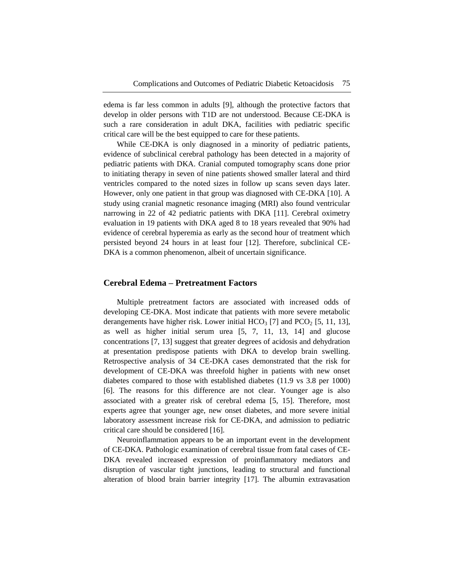edema is far less common in adults [9], although the protective factors that develop in older persons with T1D are not understood. Because CE-DKA is such a rare consideration in adult DKA, facilities with pediatric specific critical care will be the best equipped to care for these patients.

While CE-DKA is only diagnosed in a minority of pediatric patients, evidence of subclinical cerebral pathology has been detected in a majority of pediatric patients with DKA. Cranial computed tomography scans done prior to initiating therapy in seven of nine patients showed smaller lateral and third ventricles compared to the noted sizes in follow up scans seven days later. However, only one patient in that group was diagnosed with CE-DKA [10]. A study using cranial magnetic resonance imaging (MRI) also found ventricular narrowing in 22 of 42 pediatric patients with DKA [11]. Cerebral oximetry evaluation in 19 patients with DKA aged 8 to 18 years revealed that 90% had evidence of cerebral hyperemia as early as the second hour of treatment which persisted beyond 24 hours in at least four [12]. Therefore, subclinical CE-DKA is a common phenomenon, albeit of uncertain significance.

#### **Cerebral Edema – Pretreatment Factors**

Multiple pretreatment factors are associated with increased odds of developing CE-DKA. Most indicate that patients with more severe metabolic derangements have higher risk. Lower initial  $HCO<sub>3</sub>$  [7] and  $PCO<sub>2</sub>$  [5, 11, 13], as well as higher initial serum urea [5, 7, 11, 13, 14] and glucose concentrations [7, 13] suggest that greater degrees of acidosis and dehydration at presentation predispose patients with DKA to develop brain swelling. Retrospective analysis of 34 CE-DKA cases demonstrated that the risk for development of CE-DKA was threefold higher in patients with new onset diabetes compared to those with established diabetes (11.9 vs 3.8 per 1000) [6]. The reasons for this difference are not clear. Younger age is also associated with a greater risk of cerebral edema [5, 15]. Therefore, most experts agree that younger age, new onset diabetes, and more severe initial laboratory assessment increase risk for CE-DKA, and admission to pediatric critical care should be considered [16].

Neuroinflammation appears to be an important event in the development of CE-DKA. Pathologic examination of cerebral tissue from fatal cases of CE-DKA revealed increased expression of proinflammatory mediators and disruption of vascular tight junctions, leading to structural and functional alteration of blood brain barrier integrity [17]. The albumin extravasation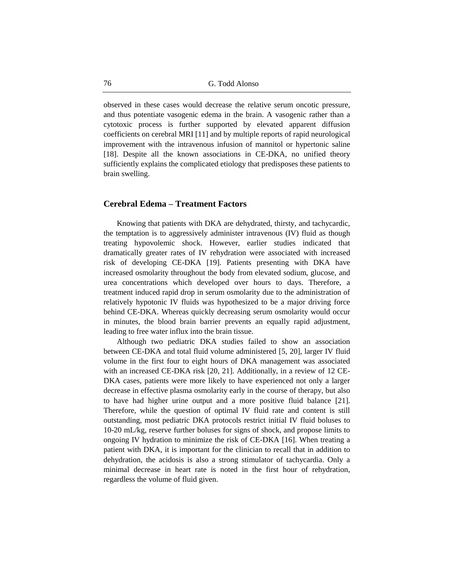observed in these cases would decrease the relative serum oncotic pressure, and thus potentiate vasogenic edema in the brain. A vasogenic rather than a cytotoxic process is further supported by elevated apparent diffusion coefficients on cerebral MRI [11] and by multiple reports of rapid neurological improvement with the intravenous infusion of mannitol or hypertonic saline [18]. Despite all the known associations in CE-DKA, no unified theory sufficiently explains the complicated etiology that predisposes these patients to brain swelling.

## **Cerebral Edema – Treatment Factors**

Knowing that patients with DKA are dehydrated, thirsty, and tachycardic, the temptation is to aggressively administer intravenous (IV) fluid as though treating hypovolemic shock. However, earlier studies indicated that dramatically greater rates of IV rehydration were associated with increased risk of developing CE-DKA [19]. Patients presenting with DKA have increased osmolarity throughout the body from elevated sodium, glucose, and urea concentrations which developed over hours to days. Therefore, a treatment induced rapid drop in serum osmolarity due to the administration of relatively hypotonic IV fluids was hypothesized to be a major driving force behind CE-DKA. Whereas quickly decreasing serum osmolarity would occur in minutes, the blood brain barrier prevents an equally rapid adjustment, leading to free water influx into the brain tissue.

Although two pediatric DKA studies failed to show an association between CE-DKA and total fluid volume administered [5, 20], larger IV fluid volume in the first four to eight hours of DKA management was associated with an increased CE-DKA risk [20, 21]. Additionally, in a review of 12 CE-DKA cases, patients were more likely to have experienced not only a larger decrease in effective plasma osmolarity early in the course of therapy, but also to have had higher urine output and a more positive fluid balance [21]. Therefore, while the question of optimal IV fluid rate and content is still outstanding, most pediatric DKA protocols restrict initial IV fluid boluses to 10-20 mL/kg, reserve further boluses for signs of shock, and propose limits to ongoing IV hydration to minimize the risk of CE-DKA [16]. When treating a patient with DKA, it is important for the clinician to recall that in addition to dehydration, the acidosis is also a strong stimulator of tachycardia. Only a minimal decrease in heart rate is noted in the first hour of rehydration, regardless the volume of fluid given.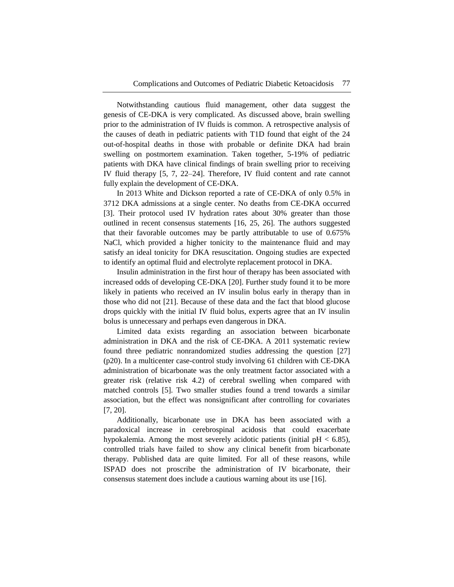Notwithstanding cautious fluid management, other data suggest the genesis of CE-DKA is very complicated. As discussed above, brain swelling prior to the administration of IV fluids is common. A retrospective analysis of the causes of death in pediatric patients with T1D found that eight of the 24 out-of-hospital deaths in those with probable or definite DKA had brain swelling on postmortem examination. Taken together, 5-19% of pediatric patients with DKA have clinical findings of brain swelling prior to receiving IV fluid therapy [5, 7, 22–24]. Therefore, IV fluid content and rate cannot fully explain the development of CE-DKA.

In 2013 White and Dickson reported a rate of CE-DKA of only 0.5% in 3712 DKA admissions at a single center. No deaths from CE-DKA occurred [3]. Their protocol used IV hydration rates about 30% greater than those outlined in recent consensus statements [16, 25, 26]. The authors suggested that their favorable outcomes may be partly attributable to use of 0.675% NaCl, which provided a higher tonicity to the maintenance fluid and may satisfy an ideal tonicity for DKA resuscitation. Ongoing studies are expected to identify an optimal fluid and electrolyte replacement protocol in DKA.

Insulin administration in the first hour of therapy has been associated with increased odds of developing CE-DKA [20]. Further study found it to be more likely in patients who received an IV insulin bolus early in therapy than in those who did not [21]. Because of these data and the fact that blood glucose drops quickly with the initial IV fluid bolus, experts agree that an IV insulin bolus is unnecessary and perhaps even dangerous in DKA.

Limited data exists regarding an association between bicarbonate administration in DKA and the risk of CE-DKA. A 2011 systematic review found three pediatric nonrandomized studies addressing the question [27] (p20). In a multicenter case-control study involving 61 children with CE-DKA administration of bicarbonate was the only treatment factor associated with a greater risk (relative risk 4.2) of cerebral swelling when compared with matched controls [5]. Two smaller studies found a trend towards a similar association, but the effect was nonsignificant after controlling for covariates [7, 20].

Additionally, bicarbonate use in DKA has been associated with a paradoxical increase in cerebrospinal acidosis that could exacerbate hypokalemia. Among the most severely acidotic patients (initial  $pH < 6.85$ ), controlled trials have failed to show any clinical benefit from bicarbonate therapy. Published data are quite limited. For all of these reasons, while ISPAD does not proscribe the administration of IV bicarbonate, their consensus statement does include a cautious warning about its use [16].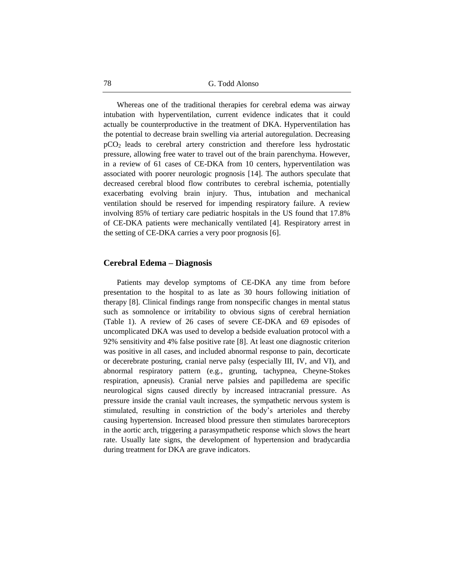Whereas one of the traditional therapies for cerebral edema was airway intubation with hyperventilation, current evidence indicates that it could actually be counterproductive in the treatment of DKA. Hyperventilation has the potential to decrease brain swelling via arterial autoregulation. Decreasing pCO<sup>2</sup> leads to cerebral artery constriction and therefore less hydrostatic pressure, allowing free water to travel out of the brain parenchyma. However, in a review of 61 cases of CE-DKA from 10 centers, hyperventilation was associated with poorer neurologic prognosis [14]. The authors speculate that decreased cerebral blood flow contributes to cerebral ischemia, potentially exacerbating evolving brain injury. Thus, intubation and mechanical ventilation should be reserved for impending respiratory failure. A review involving 85% of tertiary care pediatric hospitals in the US found that 17.8% of CE-DKA patients were mechanically ventilated [4]. Respiratory arrest in the setting of CE-DKA carries a very poor prognosis [6].

#### **Cerebral Edema – Diagnosis**

Patients may develop symptoms of CE-DKA any time from before presentation to the hospital to as late as 30 hours following initiation of therapy [8]. Clinical findings range from nonspecific changes in mental status such as somnolence or irritability to obvious signs of cerebral herniation (Table 1). A review of 26 cases of severe CE-DKA and 69 episodes of uncomplicated DKA was used to develop a bedside evaluation protocol with a 92% sensitivity and 4% false positive rate [8]. At least one diagnostic criterion was positive in all cases, and included abnormal response to pain, decorticate or decerebrate posturing, cranial nerve palsy (especially III, IV, and VI), and abnormal respiratory pattern (e.g., grunting, tachypnea, Cheyne-Stokes respiration, apneusis). Cranial nerve palsies and papilledema are specific neurological signs caused directly by increased intracranial pressure. As pressure inside the cranial vault increases, the sympathetic nervous system is stimulated, resulting in constriction of the body's arterioles and thereby causing hypertension. Increased blood pressure then stimulates baroreceptors in the aortic arch, triggering a parasympathetic response which slows the heart rate. Usually late signs, the development of hypertension and bradycardia during treatment for DKA are grave indicators.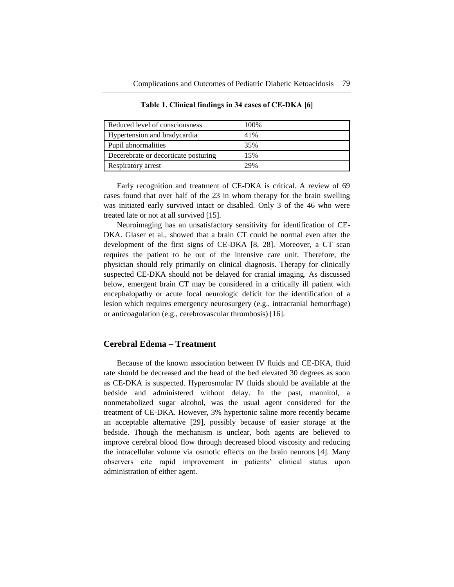| Reduced level of consciousness       | 100% |
|--------------------------------------|------|
| Hypertension and bradycardia         | 41%  |
| Pupil abnormalities                  | 35%  |
| Decerebrate or decorticate posturing | 15%  |
| Respiratory arrest                   | 29%  |

**Table 1. Clinical findings in 34 cases of CE-DKA [6]**

Early recognition and treatment of CE-DKA is critical. A review of 69 cases found that over half of the 23 in whom therapy for the brain swelling was initiated early survived intact or disabled. Only 3 of the 46 who were treated late or not at all survived [15].

Neuroimaging has an unsatisfactory sensitivity for identification of CE-DKA. Glaser et al., showed that a brain CT could be normal even after the development of the first signs of CE-DKA [8, 28]. Moreover, a CT scan requires the patient to be out of the intensive care unit. Therefore, the physician should rely primarily on clinical diagnosis. Therapy for clinically suspected CE-DKA should not be delayed for cranial imaging. As discussed below, emergent brain CT may be considered in a critically ill patient with encephalopathy or acute focal neurologic deficit for the identification of a lesion which requires emergency neurosurgery (e.g., intracranial hemorrhage) or anticoagulation (e.g., cerebrovascular thrombosis) [16].

# **Cerebral Edema – Treatment**

Because of the known association between IV fluids and CE-DKA, fluid rate should be decreased and the head of the bed elevated 30 degrees as soon as CE-DKA is suspected. Hyperosmolar IV fluids should be available at the bedside and administered without delay. In the past, mannitol, a nonmetabolized sugar alcohol, was the usual agent considered for the treatment of CE-DKA. However, 3% hypertonic saline more recently became an acceptable alternative [29], possibly because of easier storage at the bedside. Though the mechanism is unclear, both agents are believed to improve cerebral blood flow through decreased blood viscosity and reducing the intracellular volume via osmotic effects on the brain neurons [4]. Many observers cite rapid improvement in patients' clinical status upon administration of either agent.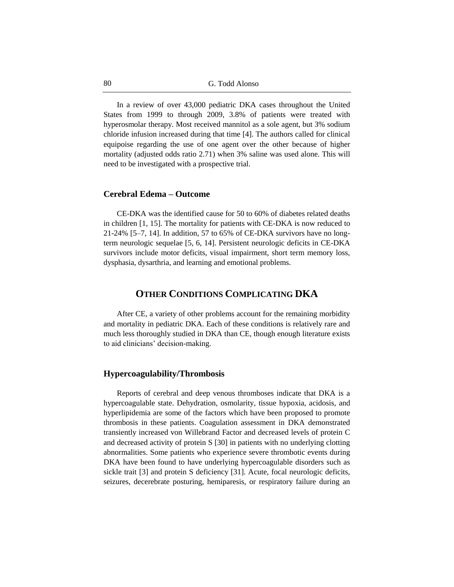In a review of over 43,000 pediatric DKA cases throughout the United States from 1999 to through 2009, 3.8% of patients were treated with hyperosmolar therapy. Most received mannitol as a sole agent, but 3% sodium chloride infusion increased during that time [4]. The authors called for clinical equipoise regarding the use of one agent over the other because of higher mortality (adjusted odds ratio 2.71) when 3% saline was used alone. This will need to be investigated with a prospective trial.

## **Cerebral Edema – Outcome**

CE-DKA was the identified cause for 50 to 60% of diabetes related deaths in children [1, 15]. The mortality for patients with CE-DKA is now reduced to 21-24% [5–7, 14]. In addition, 57 to 65% of CE-DKA survivors have no longterm neurologic sequelae [5, 6, 14]. Persistent neurologic deficits in CE-DKA survivors include motor deficits, visual impairment, short term memory loss, dysphasia, dysarthria, and learning and emotional problems.

# **OTHER CONDITIONS COMPLICATING DKA**

After CE, a variety of other problems account for the remaining morbidity and mortality in pediatric DKA. Each of these conditions is relatively rare and much less thoroughly studied in DKA than CE, though enough literature exists to aid clinicians' decision-making.

#### **Hypercoagulability/Thrombosis**

Reports of cerebral and deep venous thromboses indicate that DKA is a hypercoagulable state. Dehydration, osmolarity, tissue hypoxia, acidosis, and hyperlipidemia are some of the factors which have been proposed to promote thrombosis in these patients. Coagulation assessment in DKA demonstrated transiently increased von Willebrand Factor and decreased levels of protein C and decreased activity of protein S [30] in patients with no underlying clotting abnormalities. Some patients who experience severe thrombotic events during DKA have been found to have underlying hypercoagulable disorders such as sickle trait [3] and protein S deficiency [31]. Acute, focal neurologic deficits, seizures, decerebrate posturing, hemiparesis, or respiratory failure during an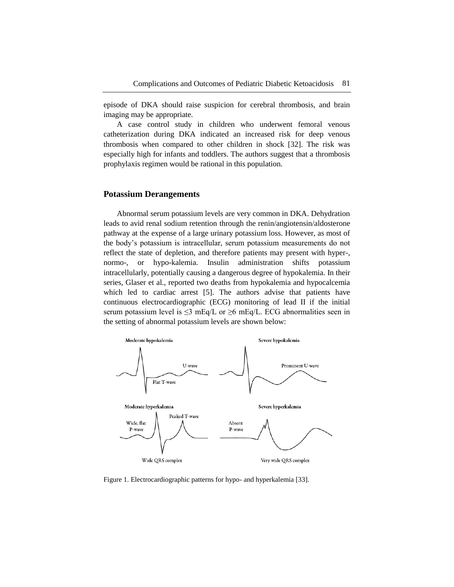episode of DKA should raise suspicion for cerebral thrombosis, and brain imaging may be appropriate.

A case control study in children who underwent femoral venous catheterization during DKA indicated an increased risk for deep venous thrombosis when compared to other children in shock [32]. The risk was especially high for infants and toddlers. The authors suggest that a thrombosis prophylaxis regimen would be rational in this population.

#### **Potassium Derangements**

Abnormal serum potassium levels are very common in DKA. Dehydration leads to avid renal sodium retention through the renin/angiotensin/aldosterone pathway at the expense of a large urinary potassium loss. However, as most of the body's potassium is intracellular, serum potassium measurements do not reflect the state of depletion, and therefore patients may present with hyper-, normo-, or hypo-kalemia. Insulin administration shifts potassium intracellularly, potentially causing a dangerous degree of hypokalemia. In their series, Glaser et al., reported two deaths from hypokalemia and hypocalcemia which led to cardiac arrest [5]. The authors advise that patients have continuous electrocardiographic (ECG) monitoring of lead II if the initial serum potassium level is  $\leq$ 3 mEq/L or  $\geq$ 6 mEq/L. ECG abnormalities seen in the setting of abnormal potassium levels are shown below:



Figure 1. Electrocardiographic patterns for hypo- and hyperkalemia [33].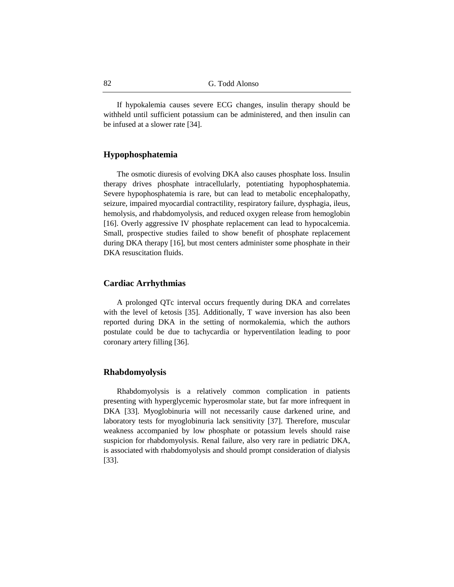If hypokalemia causes severe ECG changes, insulin therapy should be withheld until sufficient potassium can be administered, and then insulin can be infused at a slower rate [34].

## **Hypophosphatemia**

The osmotic diuresis of evolving DKA also causes phosphate loss. Insulin therapy drives phosphate intracellularly, potentiating hypophosphatemia. Severe hypophosphatemia is rare, but can lead to metabolic encephalopathy, seizure, impaired myocardial contractility, respiratory failure, dysphagia, ileus, hemolysis, and rhabdomyolysis, and reduced oxygen release from hemoglobin [16]. Overly aggressive IV phosphate replacement can lead to hypocalcemia. Small, prospective studies failed to show benefit of phosphate replacement during DKA therapy [16], but most centers administer some phosphate in their DKA resuscitation fluids.

## **Cardiac Arrhythmias**

A prolonged QTc interval occurs frequently during DKA and correlates with the level of ketosis [35]. Additionally, T wave inversion has also been reported during DKA in the setting of normokalemia, which the authors postulate could be due to tachycardia or hyperventilation leading to poor coronary artery filling [36].

## **Rhabdomyolysis**

Rhabdomyolysis is a relatively common complication in patients presenting with hyperglycemic hyperosmolar state, but far more infrequent in DKA [33]. Myoglobinuria will not necessarily cause darkened urine, and laboratory tests for myoglobinuria lack sensitivity [37]. Therefore, muscular weakness accompanied by low phosphate or potassium levels should raise suspicion for rhabdomyolysis. Renal failure, also very rare in pediatric DKA, is associated with rhabdomyolysis and should prompt consideration of dialysis [33].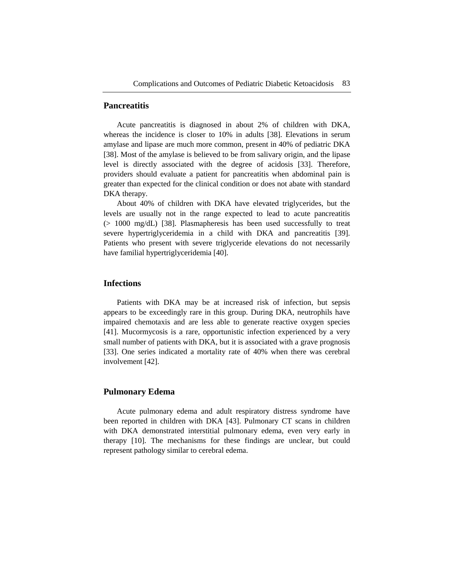## **Pancreatitis**

Acute pancreatitis is diagnosed in about 2% of children with DKA, whereas the incidence is closer to 10% in adults [38]. Elevations in serum amylase and lipase are much more common, present in 40% of pediatric DKA [38]. Most of the amylase is believed to be from salivary origin, and the lipase level is directly associated with the degree of acidosis [33]. Therefore, providers should evaluate a patient for pancreatitis when abdominal pain is greater than expected for the clinical condition or does not abate with standard DKA therapy.

About 40% of children with DKA have elevated triglycerides, but the levels are usually not in the range expected to lead to acute pancreatitis (> 1000 mg/dL) [38]. Plasmapheresis has been used successfully to treat severe hypertriglyceridemia in a child with DKA and pancreatitis [39]. Patients who present with severe triglyceride elevations do not necessarily have familial hypertriglyceridemia [40].

# **Infections**

Patients with DKA may be at increased risk of infection, but sepsis appears to be exceedingly rare in this group. During DKA, neutrophils have impaired chemotaxis and are less able to generate reactive oxygen species [41]. Mucormycosis is a rare, opportunistic infection experienced by a very small number of patients with DKA, but it is associated with a grave prognosis [33]. One series indicated a mortality rate of 40% when there was cerebral involvement [42].

## **Pulmonary Edema**

Acute pulmonary edema and adult respiratory distress syndrome have been reported in children with DKA [43]. Pulmonary CT scans in children with DKA demonstrated interstitial pulmonary edema, even very early in therapy [10]. The mechanisms for these findings are unclear, but could represent pathology similar to cerebral edema.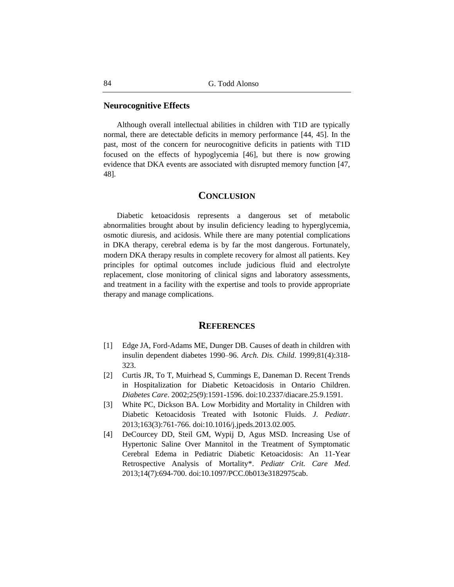## **Neurocognitive Effects**

Although overall intellectual abilities in children with T1D are typically normal, there are detectable deficits in memory performance [44, 45]. In the past, most of the concern for neurocognitive deficits in patients with T1D focused on the effects of hypoglycemia [46], but there is now growing evidence that DKA events are associated with disrupted memory function [47, 48].

## **CONCLUSION**

Diabetic ketoacidosis represents a dangerous set of metabolic abnormalities brought about by insulin deficiency leading to hyperglycemia, osmotic diuresis, and acidosis. While there are many potential complications in DKA therapy, cerebral edema is by far the most dangerous. Fortunately, modern DKA therapy results in complete recovery for almost all patients. Key principles for optimal outcomes include judicious fluid and electrolyte replacement, close monitoring of clinical signs and laboratory assessments, and treatment in a facility with the expertise and tools to provide appropriate therapy and manage complications.

# **REFERENCES**

- [1] Edge JA, Ford-Adams ME, Dunger DB. Causes of death in children with insulin dependent diabetes 1990–96. *Arch. Dis. Child*. 1999;81(4):318- 323.
- [2] Curtis JR, To T, Muirhead S, Cummings E, Daneman D. Recent Trends in Hospitalization for Diabetic Ketoacidosis in Ontario Children. *Diabetes Care*. 2002;25(9):1591-1596. doi:10.2337/diacare.25.9.1591.
- [3] White PC, Dickson BA. Low Morbidity and Mortality in Children with Diabetic Ketoacidosis Treated with Isotonic Fluids. *J. Pediatr*. 2013;163(3):761-766. doi:10.1016/j.jpeds.2013.02.005.
- [4] DeCourcey DD, Steil GM, Wypij D, Agus MSD. Increasing Use of Hypertonic Saline Over Mannitol in the Treatment of Symptomatic Cerebral Edema in Pediatric Diabetic Ketoacidosis: An 11-Year Retrospective Analysis of Mortality\*. *Pediatr Crit. Care Med*. 2013;14(7):694-700. doi:10.1097/PCC.0b013e3182975cab.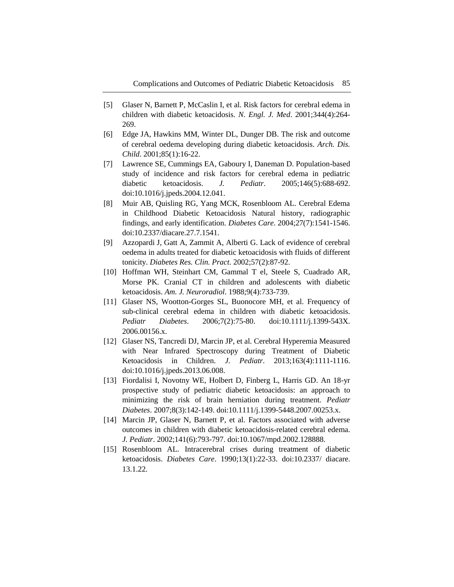- [5] Glaser N, Barnett P, McCaslin I, et al. Risk factors for cerebral edema in children with diabetic ketoacidosis. *N. Engl. J. Med*. 2001;344(4):264- 269.
- [6] Edge JA, Hawkins MM, Winter DL, Dunger DB. The risk and outcome of cerebral oedema developing during diabetic ketoacidosis. *Arch. Dis. Child*. 2001;85(1):16-22.
- [7] Lawrence SE, Cummings EA, Gaboury I, Daneman D. Population-based study of incidence and risk factors for cerebral edema in pediatric diabetic ketoacidosis. *J. Pediatr*. 2005;146(5):688-692. doi:10.1016/j.jpeds.2004.12.041.
- [8] Muir AB, Quisling RG, Yang MCK, Rosenbloom AL. Cerebral Edema in Childhood Diabetic Ketoacidosis Natural history, radiographic findings, and early identification. *Diabetes Care*. 2004;27(7):1541-1546. doi:10.2337/diacare.27.7.1541.
- [9] Azzopardi J, Gatt A, Zammit A, Alberti G. Lack of evidence of cerebral oedema in adults treated for diabetic ketoacidosis with fluids of different tonicity. *Diabetes Res. Clin. Pract*. 2002;57(2):87-92.
- [10] Hoffman WH, Steinhart CM, Gammal T el, Steele S, Cuadrado AR, Morse PK. Cranial CT in children and adolescents with diabetic ketoacidosis. *Am. J. Neuroradiol*. 1988;9(4):733-739.
- [11] Glaser NS, Wootton-Gorges SL, Buonocore MH, et al. Frequency of sub-clinical cerebral edema in children with diabetic ketoacidosis. *Pediatr Diabetes*. 2006;7(2):75-80. doi:10.1111/j.1399-543X. 2006.00156.x.
- [12] Glaser NS, Tancredi DJ, Marcin JP, et al. Cerebral Hyperemia Measured with Near Infrared Spectroscopy during Treatment of Diabetic Ketoacidosis in Children. *J. Pediatr*. 2013;163(4):1111-1116. doi:10.1016/j.jpeds.2013.06.008.
- [13] Fiordalisi I, Novotny WE, Holbert D, Finberg L, Harris GD. An 18-yr prospective study of pediatric diabetic ketoacidosis: an approach to minimizing the risk of brain herniation during treatment. *Pediatr Diabetes*. 2007;8(3):142-149. doi:10.1111/j.1399-5448.2007.00253.x.
- [14] Marcin JP, Glaser N, Barnett P, et al. Factors associated with adverse outcomes in children with diabetic ketoacidosis-related cerebral edema. *J. Pediatr*. 2002;141(6):793-797. doi:10.1067/mpd.2002.128888.
- [15] Rosenbloom AL. Intracerebral crises during treatment of diabetic ketoacidosis. *Diabetes Care*. 1990;13(1):22-33. doi:10.2337/ diacare. 13.1.22.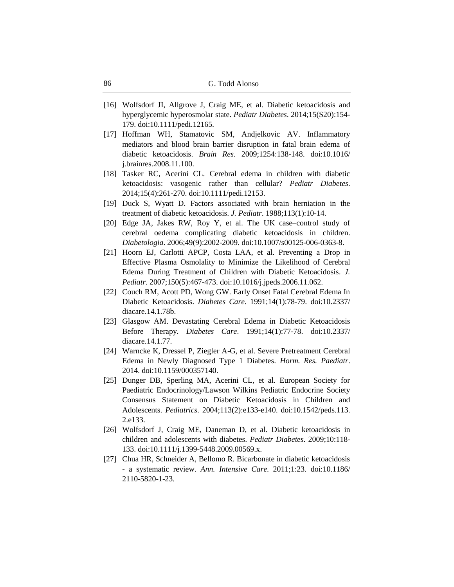- [16] Wolfsdorf JI, Allgrove J, Craig ME, et al. Diabetic ketoacidosis and hyperglycemic hyperosmolar state. *Pediatr Diabetes*. 2014;15(S20):154- 179. doi:10.1111/pedi.12165.
- [17] Hoffman WH, Stamatovic SM, Andjelkovic AV. Inflammatory mediators and blood brain barrier disruption in fatal brain edema of diabetic ketoacidosis. *Brain Res*. 2009;1254:138-148. doi:10.1016/ j.brainres.2008.11.100.
- [18] Tasker RC, Acerini CL. Cerebral edema in children with diabetic ketoacidosis: vasogenic rather than cellular? *Pediatr Diabetes*. 2014;15(4):261-270. doi:10.1111/pedi.12153.
- [19] Duck S, Wyatt D. Factors associated with brain herniation in the treatment of diabetic ketoacidosis. *J. Pediatr*. 1988;113(1):10-14.
- [20] Edge JA, Jakes RW, Roy Y, et al. The UK case–control study of cerebral oedema complicating diabetic ketoacidosis in children. *Diabetologia*. 2006;49(9):2002-2009. doi:10.1007/s00125-006-0363-8.
- [21] Hoorn EJ, Carlotti APCP, Costa LAA, et al. Preventing a Drop in Effective Plasma Osmolality to Minimize the Likelihood of Cerebral Edema During Treatment of Children with Diabetic Ketoacidosis. *J. Pediatr*. 2007;150(5):467-473. doi:10.1016/j.jpeds.2006.11.062.
- [22] Couch RM, Acott PD, Wong GW. Early Onset Fatal Cerebral Edema In Diabetic Ketoacidosis. *Diabetes Care*. 1991;14(1):78-79. doi:10.2337/ diacare.14.1.78b.
- [23] Glasgow AM. Devastating Cerebral Edema in Diabetic Ketoacidosis Before Therapy. *Diabetes Care*. 1991;14(1):77-78. doi:10.2337/ diacare.14.1.77.
- [24] Warncke K, Dressel P, Ziegler A-G, et al. Severe Pretreatment Cerebral Edema in Newly Diagnosed Type 1 Diabetes. *Horm. Res. Paediatr*. 2014. doi:10.1159/000357140.
- [25] Dunger DB, Sperling MA, Acerini CL, et al. European Society for Paediatric Endocrinology/Lawson Wilkins Pediatric Endocrine Society Consensus Statement on Diabetic Ketoacidosis in Children and Adolescents. *Pediatrics*. 2004;113(2):e133-e140. doi:10.1542/peds.113. 2.e133.
- [26] Wolfsdorf J, Craig ME, Daneman D, et al. Diabetic ketoacidosis in children and adolescents with diabetes. *Pediatr Diabetes*. 2009;10:118- 133. doi:10.1111/j.1399-5448.2009.00569.x.
- [27] Chua HR, Schneider A, Bellomo R. Bicarbonate in diabetic ketoacidosis - a systematic review. *Ann. Intensive Care*. 2011;1:23. doi:10.1186/ 2110-5820-1-23.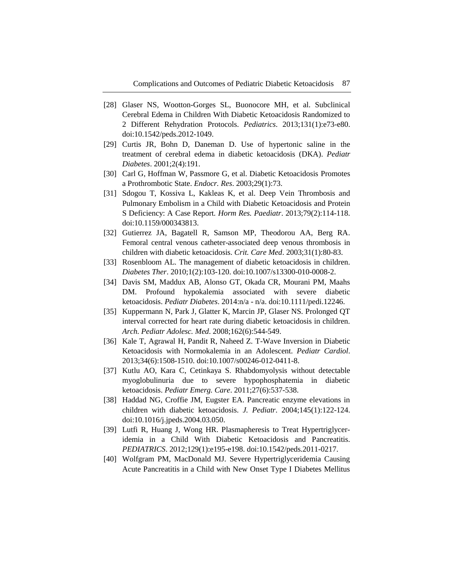- [28] Glaser NS, Wootton-Gorges SL, Buonocore MH, et al. Subclinical Cerebral Edema in Children With Diabetic Ketoacidosis Randomized to 2 Different Rehydration Protocols. *Pediatrics*. 2013;131(1):e73-e80. doi:10.1542/peds.2012-1049.
- [29] Curtis JR, Bohn D, Daneman D. Use of hypertonic saline in the treatment of cerebral edema in diabetic ketoacidosis (DKA). *Pediatr Diabetes*. 2001;2(4):191.
- [30] Carl G, Hoffman W, Passmore G, et al. Diabetic Ketoacidosis Promotes a Prothrombotic State. *Endocr. Res*. 2003;29(1):73.
- [31] Sdogou T, Kossiva L, Kakleas K, et al. Deep Vein Thrombosis and Pulmonary Embolism in a Child with Diabetic Ketoacidosis and Protein S Deficiency: A Case Report. *Horm Res. Paediatr*. 2013;79(2):114-118. doi:10.1159/000343813.
- [32] Gutierrez JA, Bagatell R, Samson MP, Theodorou AA, Berg RA. Femoral central venous catheter-associated deep venous thrombosis in children with diabetic ketoacidosis. *Crit. Care Med*. 2003;31(1):80-83.
- [33] Rosenbloom AL. The management of diabetic ketoacidosis in children. *Diabetes Ther*. 2010;1(2):103-120. doi:10.1007/s13300-010-0008-2.
- [34] Davis SM, Maddux AB, Alonso GT, Okada CR, Mourani PM, Maahs DM. Profound hypokalemia associated with severe diabetic ketoacidosis. *Pediatr Diabetes*. 2014:n/a - n/a. doi:10.1111/pedi.12246.
- [35] Kuppermann N, Park J, Glatter K, Marcin JP, Glaser NS. Prolonged QT interval corrected for heart rate during diabetic ketoacidosis in children. *Arch. Pediatr Adolesc. Med*. 2008;162(6):544-549.
- [36] Kale T, Agrawal H, Pandit R, Naheed Z. T-Wave Inversion in Diabetic Ketoacidosis with Normokalemia in an Adolescent. *Pediatr Cardiol*. 2013;34(6):1508-1510. doi:10.1007/s00246-012-0411-8.
- [37] Kutlu AO, Kara C, Cetinkaya S. Rhabdomyolysis without detectable myoglobulinuria due to severe hypophosphatemia in diabetic ketoacidosis. *Pediatr Emerg. Care*. 2011;27(6):537-538.
- [38] Haddad NG, Croffie JM, Eugster EA. Pancreatic enzyme elevations in children with diabetic ketoacidosis. *J. Pediatr*. 2004;145(1):122-124. doi:10.1016/j.jpeds.2004.03.050.
- [39] Lutfi R, Huang J, Wong HR. Plasmapheresis to Treat Hypertriglyceridemia in a Child With Diabetic Ketoacidosis and Pancreatitis. *PEDIATRICS*. 2012;129(1):e195-e198. doi:10.1542/peds.2011-0217.
- [40] Wolfgram PM, MacDonald MJ. Severe Hypertriglyceridemia Causing Acute Pancreatitis in a Child with New Onset Type I Diabetes Mellitus